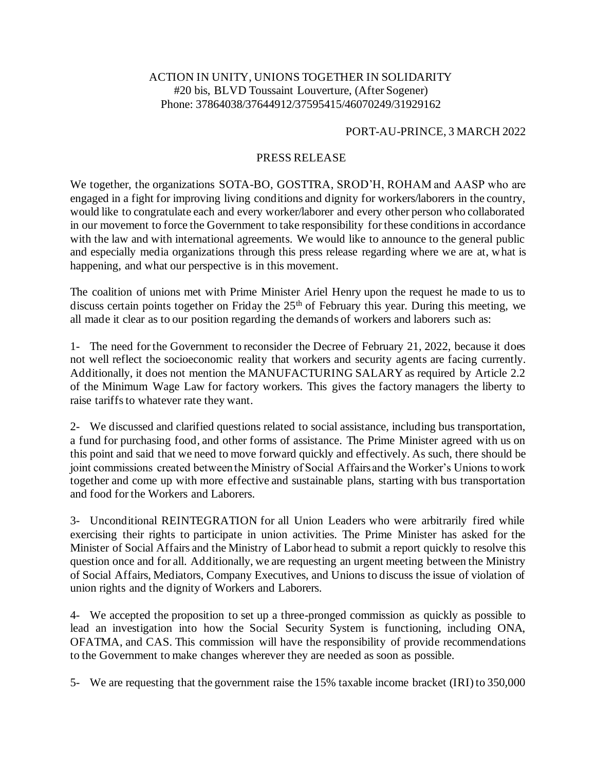## ACTION IN UNITY, UNIONS TOGETHER IN SOLIDARITY #20 bis, BLVD Toussaint Louverture, (After Sogener) Phone: 37864038/37644912/37595415/46070249/31929162

## PORT-AU-PRINCE, 3 MARCH 2022

## PRESS RELEASE

We together, the organizations SOTA-BO, GOSTTRA, SROD'H, ROHAM and AASP who are engaged in a fight for improving living conditions and dignity for workers/laborers in the country, would like to congratulate each and every worker/laborer and every other person who collaborated in our movement to force the Government to take responsibility for these conditions in accordance with the law and with international agreements. We would like to announce to the general public and especially media organizations through this press release regarding where we are at, what is happening, and what our perspective is in this movement.

The coalition of unions met with Prime Minister Ariel Henry upon the request he made to us to discuss certain points together on Friday the 25<sup>th</sup> of February this year. During this meeting, we all made it clear as to our position regarding the demands of workers and laborers such as:

1- The need for the Government to reconsider the Decree of February 21, 2022, because it does not well reflect the socioeconomic reality that workers and security agents are facing currently. Additionally, it does not mention the MANUFACTURING SALARY as required by Article 2.2 of the Minimum Wage Law for factory workers. This gives the factory managers the liberty to raise tariffs to whatever rate they want.

2- We discussed and clarified questions related to social assistance, including bus transportation, a fund for purchasing food, and other forms of assistance. The Prime Minister agreed with us on this point and said that we need to move forward quickly and effectively. As such, there should be joint commissions created between the Ministry of Social Affairs and the Worker's Unions to work together and come up with more effective and sustainable plans, starting with bus transportation and food for the Workers and Laborers.

3- Unconditional REINTEGRATION for all Union Leaders who were arbitrarily fired while exercising their rights to participate in union activities. The Prime Minister has asked for the Minister of Social Affairs and the Ministry of Labor head to submit a report quickly to resolve this question once and for all. Additionally, we are requesting an urgent meeting between the Ministry of Social Affairs, Mediators, Company Executives, and Unions to discuss the issue of violation of union rights and the dignity of Workers and Laborers.

4- We accepted the proposition to set up a three-pronged commission as quickly as possible to lead an investigation into how the Social Security System is functioning, including ONA, OFATMA, and CAS. This commission will have the responsibility of provide recommendations to the Government to make changes wherever they are needed as soon as possible.

5- We are requesting that the government raise the 15% taxable income bracket (IRI) to 350,000